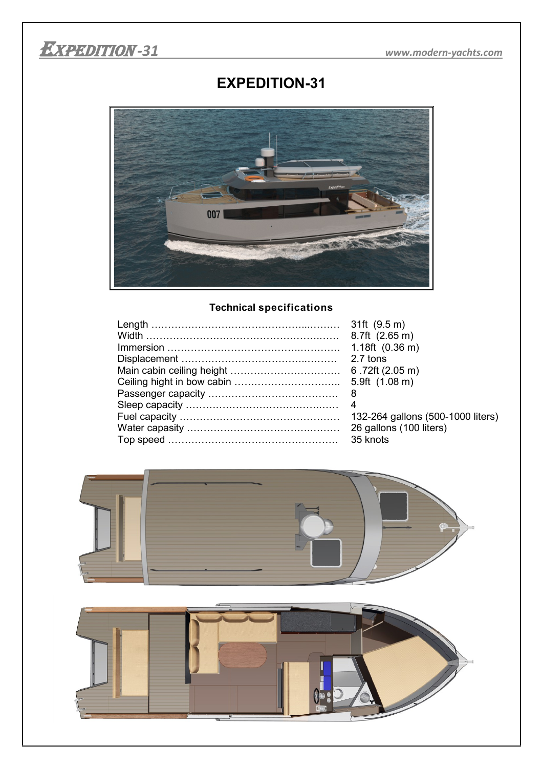

## **EXPEDITION-31**



## **Technical specifications**

| 8.7ft (2.65 m)                    |
|-----------------------------------|
| $1.18ft$ (0.36 m)                 |
| 2.7 tons                          |
| 6.72ft(2.05 m)                    |
| 5.9ft $(1.08 \text{ m})$          |
|                                   |
|                                   |
| 132-264 gallons (500-1000 liters) |
| 26 gallons (100 liters)           |
| 35 knots                          |

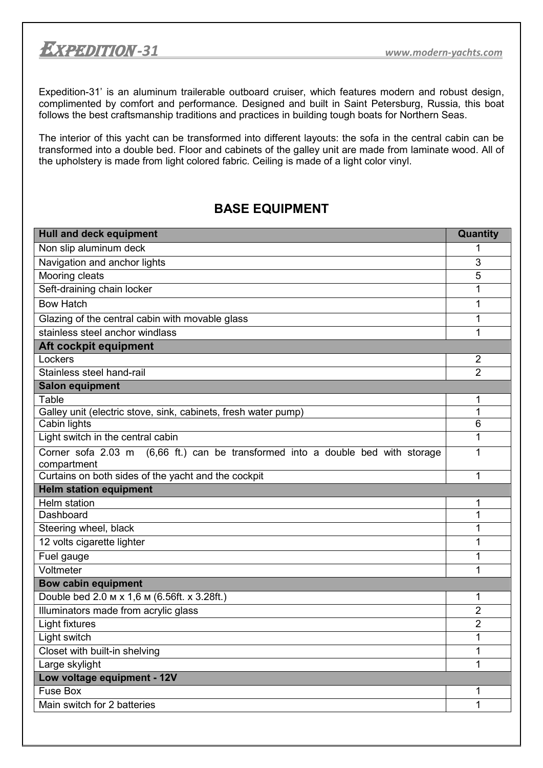

Expedition-31' is an aluminum trailerable outboard cruiser, which features modern and robust design, complimented by comfort and performance. Designed and built in Saint Petersburg, Russia, this boat follows the best craftsmanship traditions and practices in building tough boats for Northern Seas.

The interior of this yacht can be transformed into different layouts: the sofa in the central cabin can be transformed into a double bed. Floor and cabinets of the galley unit are made from laminate wood. All of the upholstery is made from light colored fabric. Ceiling is made of a light color vinyl.

## **BASE EQUIPMENT**

| <b>Hull and deck equipment</b>                                                  | Quantity            |  |
|---------------------------------------------------------------------------------|---------------------|--|
| Non slip aluminum deck                                                          | 1                   |  |
| Navigation and anchor lights                                                    | 3                   |  |
| Mooring cleats                                                                  | 5                   |  |
| Seft-draining chain locker                                                      | 1                   |  |
| <b>Bow Hatch</b>                                                                | 1                   |  |
| Glazing of the central cabin with movable glass                                 | 1                   |  |
| stainless steel anchor windlass                                                 | 1                   |  |
| Aft cockpit equipment                                                           |                     |  |
| Lockers                                                                         | $\overline{2}$      |  |
| Stainless steel hand-rail                                                       | $\overline{2}$      |  |
| <b>Salon equipment</b>                                                          |                     |  |
| Table                                                                           | 1                   |  |
| Galley unit (electric stove, sink, cabinets, fresh water pump)                  | 1                   |  |
| Cabin lights                                                                    | 6                   |  |
| Light switch in the central cabin                                               | 1                   |  |
| Corner sofa 2.03 m (6,66 ft.) can be transformed into a double bed with storage | 1                   |  |
| compartment                                                                     |                     |  |
| Curtains on both sides of the yacht and the cockpit                             | 1                   |  |
| <b>Helm station equipment</b>                                                   |                     |  |
| Helm station<br>Dashboard                                                       | 1<br>1              |  |
| Steering wheel, black                                                           | 1                   |  |
| 12 volts cigarette lighter                                                      | 1                   |  |
|                                                                                 | 1                   |  |
| Fuel gauge<br>Voltmeter                                                         | 1                   |  |
|                                                                                 |                     |  |
| <b>Bow cabin equipment</b><br>Double bed 2.0 м х 1,6 м (6.56ft. х 3.28ft.)      |                     |  |
|                                                                                 | 1<br>$\overline{2}$ |  |
| Illuminators made from acrylic glass                                            | $\overline{2}$      |  |
| <b>Light fixtures</b>                                                           | 1                   |  |
| Light switch                                                                    | 1                   |  |
| Closet with built-in shelving                                                   |                     |  |
| Large skylight                                                                  | 1                   |  |
| Low voltage equipment - 12V<br><b>Fuse Box</b>                                  |                     |  |
| Main switch for 2 batteries                                                     | 1<br>1              |  |
|                                                                                 |                     |  |